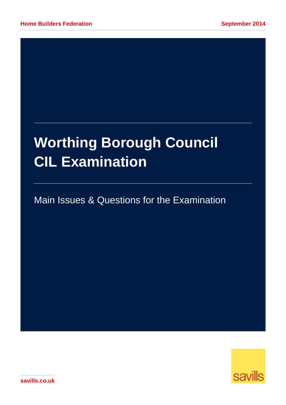# **Worthing Borough Council CIL Examination**

## Main Issues & Questions for the Examination



**savills.co.uk**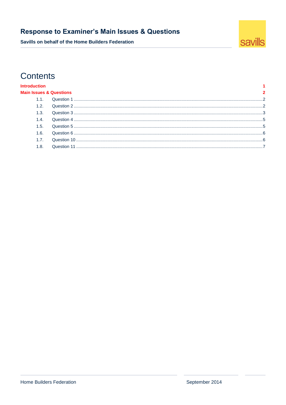Savills on behalf of the Home Builders Federation



 $\blacktriangleleft$ 

### **Contents**

|  |  | <b>Introduction</b> |
|--|--|---------------------|
|  |  |                     |

#### $\overline{a}$ i. **Main Is**

|      | ssues & Questions |  |
|------|-------------------|--|
|      |                   |  |
|      |                   |  |
|      |                   |  |
|      |                   |  |
|      |                   |  |
| 1.6. |                   |  |
| 1.7. |                   |  |
|      |                   |  |
|      |                   |  |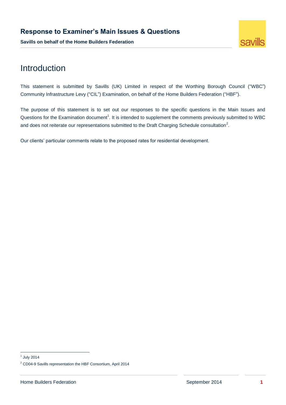**Savills on behalf of the Home Builders Federation**



### <span id="page-2-0"></span>Introduction

This statement is submitted by Savills (UK) Limited in respect of the Worthing Borough Council ("WBC") Community Infrastructure Levy ("CIL") Examination, on behalf of the Home Builders Federation ("HBF").

The purpose of this statement is to set out our responses to the specific questions in the Main Issues and Questions for the Examination document<sup>1</sup>. It is intended to supplement the comments previously submitted to WBC and does not reiterate our representations submitted to the Draft Charging Schedule consultation<sup>2</sup>.

Our clients' particular comments relate to the proposed rates for residential development.

 $<sup>1</sup>$  July 2014</sup>

<sup>2</sup> CD04-9 Savills representation the HBF Consortium, April 2014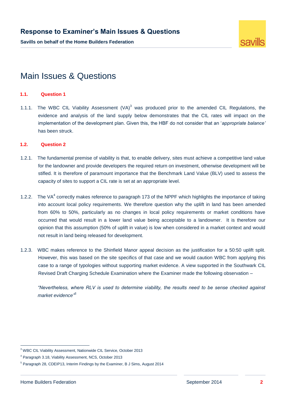**Savills on behalf of the Home Builders Federation**



### <span id="page-3-0"></span>Main Issues & Questions

#### <span id="page-3-1"></span>**1.1. Question 1**

1.1.1. The WBC CIL Viability Assessment  $(VA)^3$  was produced prior to the amended CIL Regulations, the evidence and analysis of the land supply below demonstrates that the CIL rates will impact on the implementation of the development plan. Given this, the HBF do not consider that an '*appropriate balance'* has been struck.

#### <span id="page-3-2"></span>**1.2. Question 2**

- 1.2.1. The fundamental premise of viability is that, to enable delivery, sites must achieve a competitive land value for the landowner and provide developers the required return on investment, otherwise development will be stifled. It is therefore of paramount importance that the Benchmark Land Value (BLV) used to assess the capacity of sites to support a CIL rate is set at an appropriate level.
- 1.2.2. The VA<sup>4</sup> correctly makes reference to paragraph 173 of the NPPF which highlights the importance of taking into account local policy requirements. We therefore question why the uplift in land has been amended from 60% to 50%, particularly as no changes in local policy requirements or market conditions have occurred that would result in a lower land value being acceptable to a landowner. It is therefore our opinion that this assumption (50% of uplift in value) is low when considered in a market context and would not result in land being released for development.
- 1.2.3. WBC makes reference to the Shinfield Manor appeal decision as the justification for a 50:50 uplift split. However, this was based on the site specifics of that case and we would caution WBC from applying this case to a range of typologies without supporting market evidence. A view supported in the Southwark CIL Revised Draft Charging Schedule Examination where the Examiner made the following observation –

*"Nevertheless, where RLV is used to determine viability, the results need to be sense checked against market evidence" 5*

<sup>3</sup> WBC CIL Viability Assessment, Nationwide CIL Service, October 2013

<sup>4</sup> Paragraph 3.18, Viability Assessment, NCS, October 2013

<sup>5</sup> Paragraph 28, CDEIP13, Interim Findings by the Examiner, B J Sims, August 2014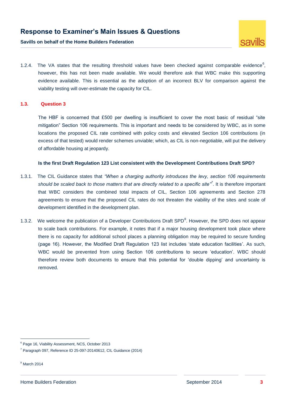**Savills on behalf of the Home Builders Federation**

1.2.4. The VA states that the resulting threshold values have been checked against comparable evidence<sup>6</sup>, however, this has not been made available. We would therefore ask that WBC make this supporting evidence available. This is essential as the adoption of an incorrect BLV for comparison against the viability testing will over-estimate the capacity for CIL.

#### <span id="page-4-0"></span>**1.3. Question 3**

The HBF is concerned that £500 per dwelling is insufficient to cover the most basic of residual "site mitigation" Section 106 requirements. This is important and needs to be considered by WBC, as in some locations the proposed CIL rate combined with policy costs and elevated Section 106 contributions (in excess of that tested) would render schemes unviable; which, as CIL is non-negotiable, will put the delivery of affordable housing at jeopardy.

#### **Is the first Draft Regulation 123 List consistent with the Development Contributions Draft SPD?**

- 1.3.1. The CIL Guidance states that *"When a charging authority introduces the levy, section 106 requirements should be scaled back to those matters that are directly related to a specific site"<sup>7</sup>* . It is therefore important that WBC considers the combined total impacts of CIL, Section 106 agreements and Section 278 agreements to ensure that the proposed CIL rates do not threaten the viability of the sites and scale of development identified in the development plan.
- 1.3.2. We welcome the publication of a Developer Contributions Draft SPD<sup>8</sup>. However, the SPD does not appear to scale back contributions. For example, it notes that if a major housing development took place where there is no capacity for additional school places a planning obligation may be required to secure funding (page 16). However, the Modified Draft Regulation 123 list includes 'state education facilities'. As such, WBC would be prevented from using Section 106 contributions to secure 'education'. WBC should therefore review both documents to ensure that this potential for 'double dipping' and uncertainty is removed.

 $\overline{a}$ 

savills

<sup>&</sup>lt;sup>6</sup> Page 16, Viability Assessment, NCS, October 2013

<sup>7</sup> Paragraph 097, Reference ID 25-097-20140612, CIL Guidance (2014)

 $8$  March 2014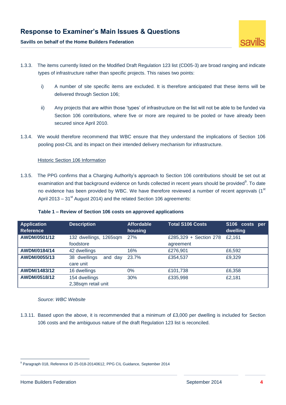

**Savills on behalf of the Home Builders Federation**

- 1.3.3. The items currently listed on the Modified Draft Regulation 123 list (CD05-3) are broad ranging and indicate types of infrastructure rather than specific projects. This raises two points:
	- i) A number of site specific items are excluded. It is therefore anticipated that these items will be delivered through Section 106;
	- ii) Any projects that are within those 'types' of infrastructure on the list will not be able to be funded via Section 106 contributions, where five or more are required to be pooled or have already been secured since April 2010.
- 1.3.4. We would therefore recommend that WBC ensure that they understand the implications of Section 106 pooling post-CIL and its impact on their intended delivery mechanism for infrastructure.

#### **Historic Section 106 Information**

1.3.5. The PPG confirms that a Charging Authority's approach to Section 106 contributions should be set out at examination and that background evidence on funds collected in recent years should be provided $^9$ . To date no evidence has been provided by WBC. We have therefore reviewed a number of recent approvals  $(1<sup>st</sup>$ April 2013 –  $31<sup>st</sup>$  August 2014) and the related Section 106 agreements:

|  |  |  |  |  |  | Table 1 – Review of Section 106 costs on approved applications |
|--|--|--|--|--|--|----------------------------------------------------------------|
|--|--|--|--|--|--|----------------------------------------------------------------|

| <b>Application</b><br><b>Reference</b> | <b>Description</b>         | <b>Affordable</b><br>housing | <b>Total S106 Costs</b> | S106 costs per<br>dwelling |
|----------------------------------------|----------------------------|------------------------------|-------------------------|----------------------------|
| AWDM/0501/12                           | 132 dwellings, 1265sqm     | 27%                          | £285,329 + Section 278  | £2.161                     |
|                                        | foodstore                  |                              | agreement               |                            |
| AWDM/0184/14                           | 42 dwellings               | 16%                          | £276,901                | £6,592                     |
| AWDM/0055/13                           | 38 dwellings<br>dav<br>and | 23.7%                        | £354,537                | £9,329                     |
|                                        | care unit                  |                              |                         |                            |
| AWDM/1483/12                           | 16 dwellings               | $0\%$                        | £101,738                | £6,358                     |
| AWDM/0518/12                           | 154 dwellings              | 30%                          | £335,998                | £2,181                     |
|                                        | 2,38sqm retail unit        |                              |                         |                            |

*Source: WBC Website*

1.3.11. Based upon the above, it is recommended that a minimum of £3,000 per dwelling is included for Section 106 costs and the ambiguous nature of the draft Regulation 123 list is reconciled.

<sup>9</sup> Paragraph 018, Reference ID 25-018-20140612, PPG CIL Guidance, September 2014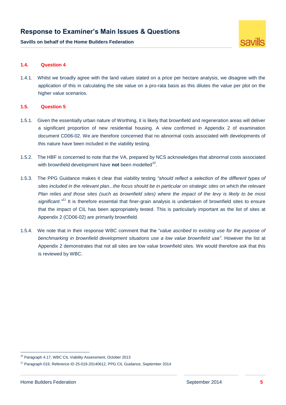**Savills on behalf of the Home Builders Federation**



#### <span id="page-6-0"></span>**1.4. Question 4**

1.4.1. Whilst we broadly agree with the land values stated on a price per hectare analysis, we disagree with the application of this in calculating the site value on a pro-rata basis as this dilutes the value per plot on the higher value scenarios.

#### <span id="page-6-1"></span>**1.5. Question 5**

- 1.5.1. Given the essentially urban nature of Worthing, it is likely that brownfield and regeneration areas will deliver a significant proportion of new residential housing. A view confirmed in Appendix 2 of examination document CD06-02. We are therefore concerned that no abnormal costs associated with developments of this nature have been included in the viability testing.
- 1.5.2. The HBF is concerned to note that the VA, prepared by NCS acknowledges that abnormal costs associated with brownfield development have **not** been modelled*<sup>10</sup>* .
- 1.5.3. The PPG Guidance makes it clear that viability testing *"should reflect a selection of the different types of*  sites included in the relevant plan...the focus should be in particular on strategic sites on which the relevant *Plan relies and those sites (such as brownfield sites) where the impact of the levy is likely to be most significant."<sup>11</sup>* It is therefore essential that finer-grain analysis is undertaken of brownfield sites to ensure that the impact of CIL has been appropriately tested. This is particularly important as the list of sites at Appendix 2 (CD06-02) are primarily brownfield.
- 1.5.4. We note that in their response WBC comment that the "*value ascribed to existing use for the purpose of benchmarking in brownfield development situations use a low value brownfield use"*. However the list at Appendix 2 demonstrates that not all sites are low value brownfield sites. We would therefore ask that this is reviewed by WBC.

<sup>10</sup> Paragraph 4.17, WBC CIL Viability Assessment, October 2013

<sup>11</sup> Paragraph 019, Reference ID 25-019-20140612, PPG CIL Guidance, September 2014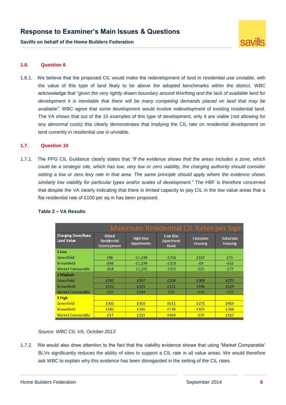**Savills on behalf of the Home Builders Federation**



#### <span id="page-7-0"></span>**1.6. Question 6**

1.6.1. We believe that the proposed CIL would make the redevelopment of land in residential use unviable, with the value of this type of land likely to be above the adopted benchmarks within the district. WBC acknowledge that "*given the very tightly drawn boundary around Worthing and the lack of available land for development it is inevitable that there will be many competing demands placed on land that may be available".* WBC agree that some development would involve redevelopment of existing residential land. The VA shows that out of the 15 examples of this type of development, only 4 are viable (not allowing for any abnormal costs) this clearly demonstrates that implying the CIL rate on residential development on land currently in residential use is unviable.

#### <span id="page-7-1"></span>**1.7. Question 10**

1.7.1. The PPG CIL Guidance clearly states that *"If the evidence shows that the areas includes a zone, which could be a strategic site, which has low, very low or zero viability, the charging authority should consider setting a low or zero levy rate in that area. The same principle should apply where the evidence shows similarly low viability for particular types and/or scales of development."* The HBF is therefore concerned that despite the VA clearly indicating that there is limited capacity to pay CIL in the low value areas that a flat residential rate of £100 per sq m has been proposed.

| Maximum Residential CIL Rates per Sqm          |                                                          |                                       |                                              |                                    |                                   |
|------------------------------------------------|----------------------------------------------------------|---------------------------------------|----------------------------------------------|------------------------------------|-----------------------------------|
| <b>Charging Zone/Base</b><br><b>Land Value</b> | <b>Mixed</b><br><b>Residential</b><br><b>Development</b> | <b>High Rise</b><br><b>Apartments</b> | <b>Low Rise</b><br>Apartment<br><b>Block</b> | <b>Executive</b><br><b>Housing</b> | <b>Suburban</b><br><b>Housing</b> |
| 1 Low                                          |                                                          |                                       |                                              |                                    |                                   |
| Greenfield                                     | £96                                                      | $-£1,144$                             | $-£256$                                      | £137                               | £73                               |
| <b>Brownfield</b>                              | $-E48$                                                   | $-E1,199$                             | $-£310$                                      | -£9                                | $-E62$                            |
| Market Comparable                              | $-E64$                                                   | $-£1.205$                             | $-£315$                                      | $-E25$                             | $-E77$                            |
| 2 Medium                                       |                                                          |                                       |                                              |                                    |                                   |
| Greenfield                                     | £292                                                     | £397                                  | £208                                         | £309                               | £275                              |
| <b>Brownfield</b>                              | £132                                                     | £321                                  | £131                                         | £146                               | £124                              |
| Market Comparable                              | $-E32$                                                   | £244                                  | £55                                          | $-£39$                             | $-E32$                            |
| 3 High                                         |                                                          |                                       |                                              |                                    |                                   |
| Greenfield                                     | £302                                                     | £360                                  | £611                                         | £271                               | £419                              |
| <b>Brownfield</b>                              | £142                                                     | £286                                  | £538                                         | £105                               | £268                              |
| <b>Market Comparable</b>                       | $-£17$                                                   | £211                                  | £464                                         | $-£59$                             | £117                              |

#### **Table 2 – VA Results**

*Source: WBC CIL VA, October 2013*

1.7.2. We would also draw attention to the fact that the viability evidence shows that using 'Market Comparable' BLVs significantly reduces the ability of sites to support a CIL rate in all value areas. We would therefore ask WBC to explain why this evidence has been disregarded in the setting of the CIL rates.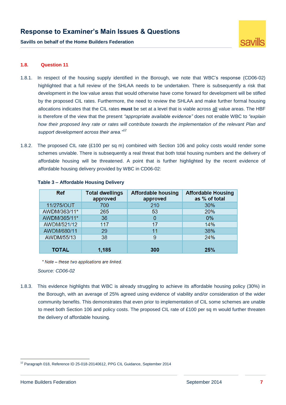**Savills on behalf of the Home Builders Federation**



#### <span id="page-8-0"></span>**1.8. Question 11**

- 1.8.1. In respect of the housing supply identified in the Borough, we note that WBC's response (CD06-02) highlighted that a full review of the SHLAA needs to be undertaken. There is subsequently a risk that development in the low value areas that would otherwise have come forward for development will be stifled by the proposed CIL rates. Furthermore, the need to review the SHLAA and make further formal housing allocations indicates that the CIL rates **must** be set at a level that is viable across all value areas. The HBF is therefore of the view that the present *"appropriate available evidence"* does not enable WBC to *"explain how their proposed levy rate or rates will contribute towards the implementation of the relevant Plan and support development across their area."<sup>12</sup>*
- 1.8.2. The proposed CIL rate (£100 per sq m) combined with Section 106 and policy costs would render some schemes unviable. There is subsequently a real threat that both total housing numbers and the delivery of affordable housing will be threatened. A point that is further highlighted by the recent evidence of affordable housing delivery provided by WBC in CD06-02:

| <b>Ref</b>   | <b>Total dwellings</b><br>approved | <b>Affordable housing</b><br>approved | <b>Affordable Housing</b><br>as % of total |
|--------------|------------------------------------|---------------------------------------|--------------------------------------------|
| 11/275/OUT   | 700                                | 210                                   | 30%                                        |
| AWDM/363/11* | 265                                | 53                                    | 20%                                        |
| AWDM/365/11* | 36                                 | 0                                     | $0\%$                                      |
| AWDM/521/12  | 117                                | 17                                    | 14%                                        |
| AWDM/680/11  | 29                                 | 11                                    | 38%                                        |
| AWDM/55/13   | 38                                 | 9                                     | 24%                                        |
| <b>TOTAL</b> | 1.185                              | 300                                   | 25%                                        |

#### **Table 3 – Affordable Housing Delivery**

\* Note - these two applications are linked.

#### *Source: CD06-02*

1.8.3. This evidence highlights that WBC is already struggling to achieve its affordable housing policy (30%) in the Borough, with an average of 25% agreed using evidence of viability and/or consideration of the wider community benefits. This demonstrates that even prior to implementation of CIL some schemes are unable to meet both Section 106 and policy costs. The proposed CIL rate of £100 per sq m would further threaten the delivery of affordable housing.

<sup>12</sup> Paragraph 018, Reference ID 25-018-20140612, PPG CIL Guidance, September 2014